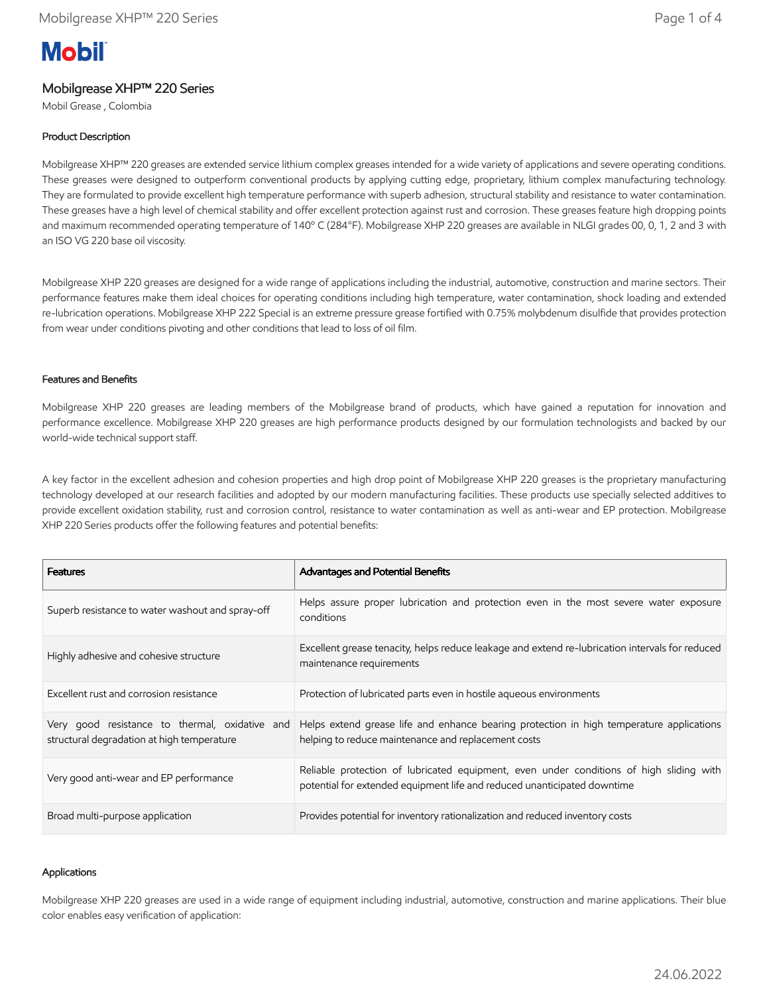# **Mobil**

## Mobilgrease XHP™ 220 Series

Mobil Grease , Colombia

## Product Description

Mobilgrease XHP™ 220 greases are extended service lithium complex greases intended for a wide variety of applications and severe operating conditions. These greases were designed to outperform conventional products by applying cutting edge, proprietary, lithium complex manufacturing technology. They are formulated to provide excellent high temperature performance with superb adhesion, structural stability and resistance to water contamination. These greases have a high level of chemical stability and offer excellent protection against rust and corrosion. These greases feature high dropping points and maximum recommended operating temperature of 140º C (284°F). Mobilgrease XHP 220 greases are available in NLGI grades 00, 0, 1, 2 and 3 with an ISO VG 220 base oil viscosity.

Mobilgrease XHP 220 greases are designed for a wide range of applications including the industrial, automotive, construction and marine sectors. Their performance features make them ideal choices for operating conditions including high temperature, water contamination, shock loading and extended re-lubrication operations. Mobilgrease XHP 222 Special is an extreme pressure grease fortified with 0.75% molybdenum disulfide that provides protection from wear under conditions pivoting and other conditions that lead to loss of oil film.

#### Features and Benefits

Mobilgrease XHP 220 greases are leading members of the Mobilgrease brand of products, which have gained a reputation for innovation and performance excellence. Mobilgrease XHP 220 greases are high performance products designed by our formulation technologists and backed by our world-wide technical support staff.

A key factor in the excellent adhesion and cohesion properties and high drop point of Mobilgrease XHP 220 greases is the proprietary manufacturing technology developed at our research facilities and adopted by our modern manufacturing facilities. These products use specially selected additives to provide excellent oxidation stability, rust and corrosion control, resistance to water contamination as well as anti-wear and EP protection. Mobilgrease XHP 220 Series products offer the following features and potential benefits:

| <b>Features</b>                                                                              | Advantages and Potential Benefits                                                                                                                                   |
|----------------------------------------------------------------------------------------------|---------------------------------------------------------------------------------------------------------------------------------------------------------------------|
| Superb resistance to water washout and spray-off                                             | Helps assure proper lubrication and protection even in the most severe water exposure<br>conditions                                                                 |
| Highly adhesive and cohesive structure                                                       | Excellent grease tenacity, helps reduce leakage and extend re-lubrication intervals for reduced<br>maintenance requirements                                         |
| Excellent rust and corrosion resistance                                                      | Protection of lubricated parts even in hostile agueous environments                                                                                                 |
| Very good resistance to thermal, oxidative and<br>structural degradation at high temperature | Helps extend grease life and enhance bearing protection in high temperature applications<br>helping to reduce maintenance and replacement costs                     |
| Very good anti-wear and EP performance                                                       | Reliable protection of lubricated equipment, even under conditions of high sliding with<br>potential for extended equipment life and reduced unanticipated downtime |
| Broad multi-purpose application                                                              | Provides potential for inventory rationalization and reduced inventory costs                                                                                        |

#### Applications

Mobilgrease XHP 220 greases are used in a wide range of equipment including industrial, automotive, construction and marine applications. Their blue color enables easy verification of application: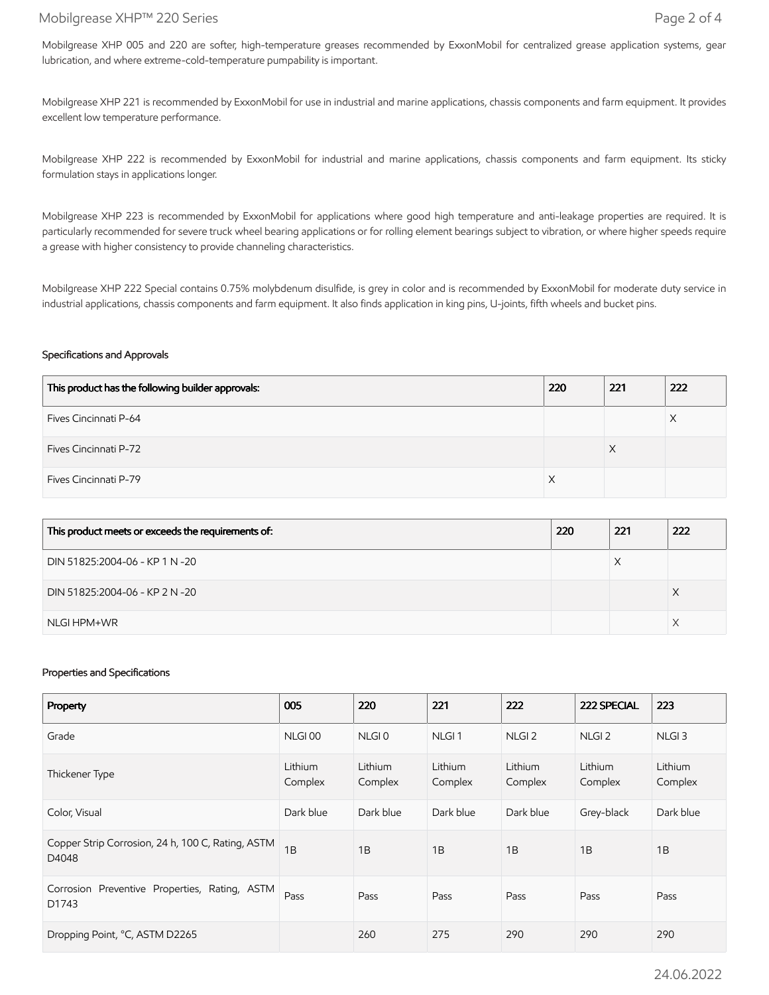### Mobilgrease XHP™ 220 Series Page 2 of 4

Mobilgrease XHP 005 and 220 are softer, high-temperature greases recommended by ExxonMobil for centralized grease application systems, gear lubrication, and where extreme-cold-temperature pumpability is important.

Mobilgrease XHP 221 is recommended by ExxonMobil for use in industrial and marine applications, chassis components and farm equipment. It provides excellent low temperature performance.

Mobilgrease XHP 222 is recommended by ExxonMobil for industrial and marine applications, chassis components and farm equipment. Its sticky formulation stays in applications longer.

Mobilgrease XHP 223 is recommended by ExxonMobil for applications where good high temperature and anti-leakage properties are required. It is particularly recommended for severe truck wheel bearing applications or for rolling element bearings subject to vibration, or where higher speeds require a grease with higher consistency to provide channeling characteristics.

Mobilgrease XHP 222 Special contains 0.75% molybdenum disulfide, is grey in color and is recommended by ExxonMobil for moderate duty service in industrial applications, chassis components and farm equipment. It also finds application in king pins, U-joints, fifth wheels and bucket pins.

#### Specifications and Approvals

| This product has the following builder approvals: | 220 | 221 | 222 |
|---------------------------------------------------|-----|-----|-----|
| Fives Cincinnati P-64                             |     |     |     |
| <b>Fives Cincinnati P-72</b>                      |     | ⋏   |     |
| Fives Cincinnati P-79                             |     |     |     |

| This product meets or exceeds the requirements of: | 220 | 221 | 222 |
|----------------------------------------------------|-----|-----|-----|
| DIN 51825:2004-06 - KP 1 N -20                     |     |     |     |
| DIN 51825:2004-06 - KP 2 N -20                     |     |     |     |
| NLGI HPM+WR                                        |     |     |     |

#### Properties and Specifications

| Property                                                   | 005                | 220                | 221                | 222                | 222 SPECIAL        | 223                |
|------------------------------------------------------------|--------------------|--------------------|--------------------|--------------------|--------------------|--------------------|
| Grade                                                      | NLGI <sub>00</sub> | NLGI <sub>0</sub>  | NLGI <sub>1</sub>  | NLGI <sub>2</sub>  | NLGI <sub>2</sub>  | NLGI <sub>3</sub>  |
| Thickener Type                                             | Lithium<br>Complex | Lithium<br>Complex | Lithium<br>Complex | Lithium<br>Complex | Lithium<br>Complex | Lithium<br>Complex |
| Color, Visual                                              | Dark blue          | Dark blue          | Dark blue          | Dark blue          | Grey-black         | Dark blue          |
| Copper Strip Corrosion, 24 h, 100 C, Rating, ASTM<br>D4048 | 1B                 | 1B                 | 1B                 | 1B                 | 1B                 | 1B                 |
| Corrosion Preventive Properties, Rating, ASTM<br>D1743     | Pass               | Pass               | Pass               | Pass               | Pass               | Pass               |
| Dropping Point, °C, ASTM D2265                             |                    | 260                | 275                | 290                | 290                | 290                |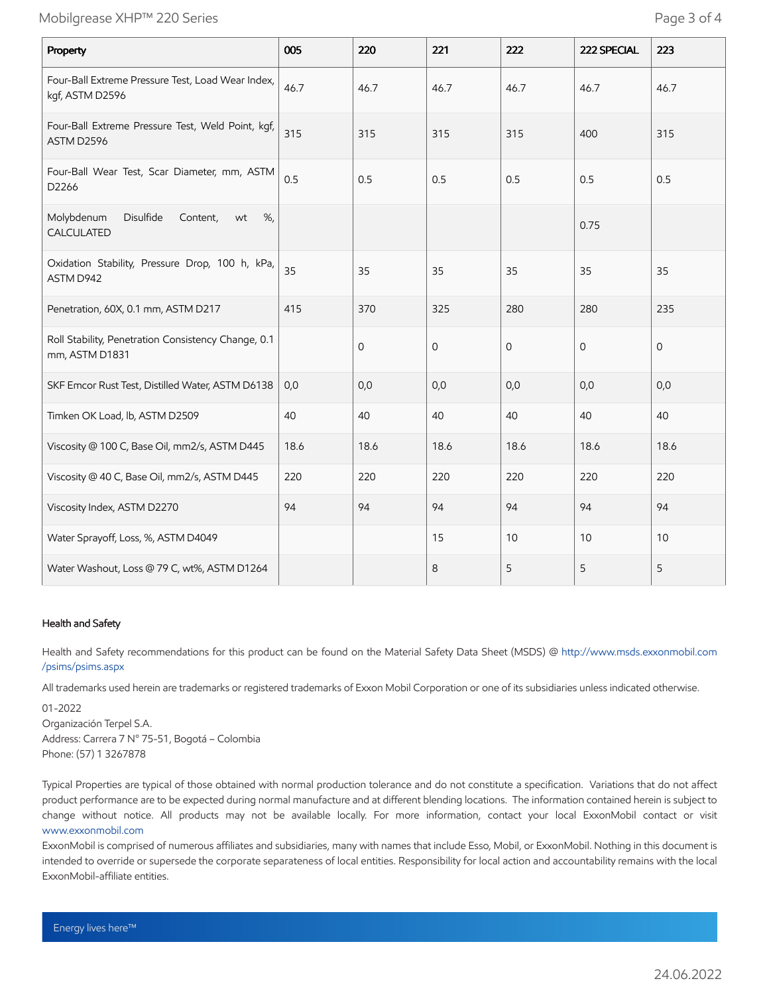| Property                                                              | 005  | 220          | 221  | 222          | 222 SPECIAL  | 223          |
|-----------------------------------------------------------------------|------|--------------|------|--------------|--------------|--------------|
| Four-Ball Extreme Pressure Test, Load Wear Index,<br>kgf, ASTM D2596  | 46.7 | 46.7         | 46.7 | 46.7         | 46.7         | 46.7         |
| Four-Ball Extreme Pressure Test, Weld Point, kgf,<br>ASTM D2596       | 315  | 315          | 315  | 315          | 400          | 315          |
| Four-Ball Wear Test, Scar Diameter, mm, ASTM<br>D2266                 | 0.5  | 0.5          | 0.5  | 0.5          | 0.5          | 0.5          |
| Disulfide<br>Molybdenum<br>Content,<br>%<br>wt<br>CALCULATED          |      |              |      |              | 0.75         |              |
| Oxidation Stability, Pressure Drop, 100 h, kPa,<br>ASTM D942          | 35   | 35           | 35   | 35           | 35           | 35           |
| Penetration, 60X, 0.1 mm, ASTM D217                                   | 415  | 370          | 325  | 280          | 280          | 235          |
| Roll Stability, Penetration Consistency Change, 0.1<br>mm, ASTM D1831 |      | $\mathbf{O}$ | 0    | $\mathbf{O}$ | $\mathbf{0}$ | $\mathbf{0}$ |
| SKF Emcor Rust Test, Distilled Water, ASTM D6138                      | 0,0  | 0,0          | 0,0  | 0,0          | 0,0          | 0,0          |
| Timken OK Load, lb, ASTM D2509                                        | 40   | 40           | 40   | 40           | 40           | 40           |
| Viscosity @ 100 C, Base Oil, mm2/s, ASTM D445                         | 18.6 | 18.6         | 18.6 | 18.6         | 18.6         | 18.6         |
| Viscosity @ 40 C, Base Oil, mm2/s, ASTM D445                          | 220  | 220          | 220  | 220          | 220          | 220          |
| Viscosity Index, ASTM D2270                                           | 94   | 94           | 94   | 94           | 94           | 94           |
| Water Sprayoff, Loss, %, ASTM D4049                                   |      |              | 15   | 10           | 10           | 10           |
| Water Washout, Loss @ 79 C, wt%, ASTM D1264                           |      |              | 8    | 5            | 5            | 5            |

#### Health and Safety

Health and Safety recommendations for this product can be found on the Material Safety Data Sheet (MSDS) @ [http://www.msds.exxonmobil.com](http://www.msds.exxonmobil.com/psims/psims.aspx) /psims/psims.aspx

All trademarks used herein are trademarks or registered trademarks of Exxon Mobil Corporation or one of its subsidiaries unless indicated otherwise.

01-2022 Organización Terpel S.A. Address: Carrera 7 N° 75-51, Bogotá – Colombia Phone: (57) 1 3267878

Typical Properties are typical of those obtained with normal production tolerance and do not constitute a specification. Variations that do not affect product performance are to be expected during normal manufacture and at different blending locations. The information contained herein is subject to change without notice. All products may not be available locally. For more information, contact your local ExxonMobil contact or visit [www.exxonmobil.com](http://www.exxonmobil.com/)

ExxonMobil is comprised of numerous affiliates and subsidiaries, many with names that include Esso, Mobil, or ExxonMobil. Nothing in this document is intended to override or supersede the corporate separateness of local entities. Responsibility for local action and accountability remains with the local ExxonMobil-affiliate entities.